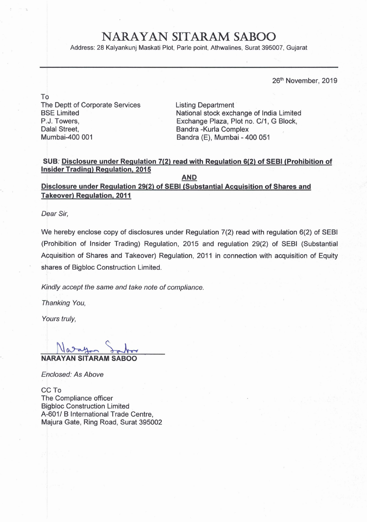## **NARAYAN SITARAM SABOO**

Address: 28 Kalyankunj Maskati Plot, Parle point, Athwalines, Surat 395007, Gujarat

26<sup>th</sup> November, 2019

To The Deptt of Corporate Services BSE Limited P,J. Towers, Dalal Street, Mumbai-400 001

Listing Department National stock exchange of India Limited Exchange Plaza, Plot no. C/1, G Block, Bandra -Kurla Complex Bandra (E), Mumbai - 400 051

## **SUB: <u>Disclosure under Regulation 7(2) read with Regulation 6(2) of SEBI (Prohibition of linsider Trading) Regulation, 2015**</u>

**AND** 

**Disclosure under Regulation 29(2) of SEBl (Substantial Acauisition of Shares and** .?, ? **Takeover) Regulation, 2011** 

**Dear Sir,** 

We hereby enclose copy of disclosures under Regulation  $7(2)$  read with regulation  $6(2)$  of SEBI (Prohibition of Insider Trading) Regulation, 2015 and regulation 29(2) of SEBI (Substantial Acquisition of Shares and Takeover) Regulation, 2011 in connection with acquisition of Equity shares of Bigbloc Construction Limited.

**Kindly accept the same and take note of compliance.** 

**Thanking You,** 

**Yours truly,** 

**NFRAYAN SITARAM SABOO** <sup>I</sup>

**Enclosed: As Above** 

CC To The Compliance officer Bigbloc Construction Limited A-601/ B International Trade Centre, Majura Gate, Ring Road, Surat 395002